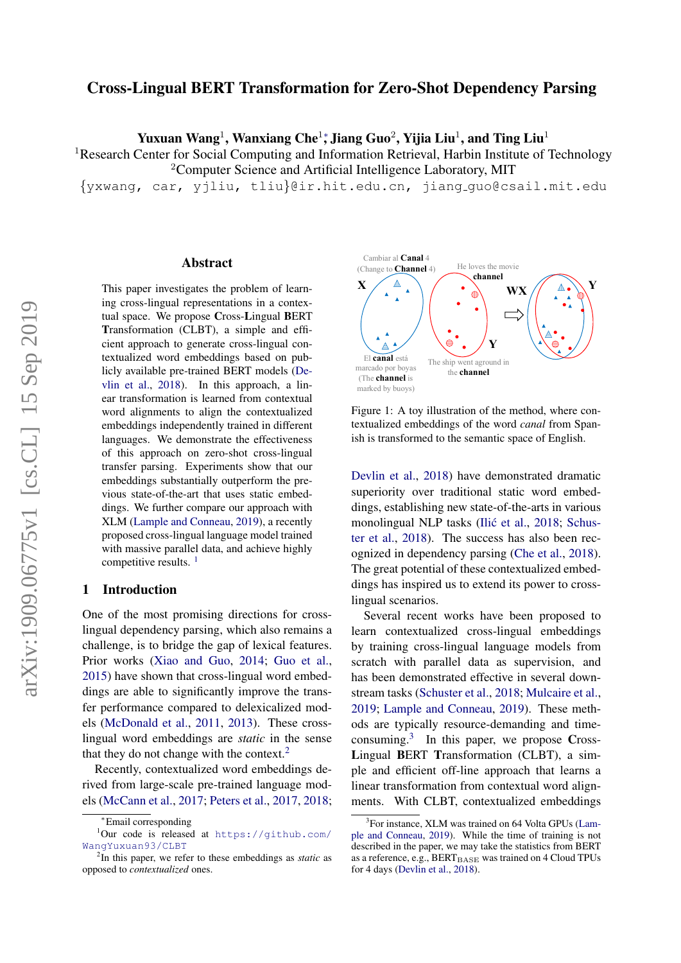## Cross-Lingual BERT Transformation for Zero-Shot Dependency Parsing

Yuxuan Wang<sup>1</sup>, Wanxiang Che<sup>1</sup>\*, Jiang Guo<sup>2</sup>, Yijia Liu<sup>1</sup>, and Ting Liu<sup>1</sup>

<sup>1</sup>Research Center for Social Computing and Information Retrieval, Harbin Institute of Technology <sup>2</sup>Computer Science and Artificial Intelligence Laboratory, MIT

{yxwang, car, yjliu, tliu}@ir.hit.edu.cn, jiang guo@csail.mit.edu

#### Abstract

This paper investigates the problem of learning cross-lingual representations in a contextual space. We propose Cross-Lingual BERT Transformation (CLBT), a simple and efficient approach to generate cross-lingual contextualized word embeddings based on publicly available pre-trained BERT models [\(De](#page-5-0)[vlin et al.,](#page-5-0) [2018\)](#page-5-0). In this approach, a linear transformation is learned from contextual word alignments to align the contextualized embeddings independently trained in different languages. We demonstrate the effectiveness of this approach on zero-shot cross-lingual transfer parsing. Experiments show that our embeddings substantially outperform the previous state-of-the-art that uses static embeddings. We further compare our approach with XLM [\(Lample and Conneau,](#page-5-1) [2019\)](#page-5-1), a recently proposed cross-lingual language model trained with massive parallel data, and achieve highly competitive results.<sup>[1](#page-0-0)</sup>

#### 1 Introduction

One of the most promising directions for crosslingual dependency parsing, which also remains a challenge, is to bridge the gap of lexical features. Prior works [\(Xiao and Guo,](#page-6-0) [2014;](#page-6-0) [Guo et al.,](#page-5-2) [2015\)](#page-5-2) have shown that cross-lingual word embeddings are able to significantly improve the transfer performance compared to delexicalized models [\(McDonald et al.,](#page-5-3) [2011,](#page-5-3) [2013\)](#page-5-4). These crosslingual word embeddings are *static* in the sense that they do not change with the context.<sup>[2](#page-0-1)</sup>

Recently, contextualized word embeddings derived from large-scale pre-trained language models [\(McCann et al.,](#page-5-5) [2017;](#page-5-5) [Peters et al.,](#page-6-1) [2017,](#page-6-1) [2018;](#page-6-2)

<span id="page-0-3"></span>

Figure 1: A toy illustration of the method, where contextualized embeddings of the word *canal* from Spanish is transformed to the semantic space of English.

[Devlin et al.,](#page-5-0) [2018\)](#page-5-0) have demonstrated dramatic superiority over traditional static word embeddings, establishing new state-of-the-arts in various monolingual NLP tasks (Ilić et al., [2018;](#page-5-6) [Schus](#page-6-3)[ter et al.,](#page-6-3) [2018\)](#page-6-3). The success has also been recognized in dependency parsing [\(Che et al.,](#page-5-7) [2018\)](#page-5-7). The great potential of these contextualized embeddings has inspired us to extend its power to crosslingual scenarios.

Several recent works have been proposed to learn contextualized cross-lingual embeddings by training cross-lingual language models from scratch with parallel data as supervision, and has been demonstrated effective in several downstream tasks [\(Schuster et al.,](#page-6-3) [2018;](#page-6-3) [Mulcaire et al.,](#page-5-8) [2019;](#page-5-8) [Lample and Conneau,](#page-5-1) [2019\)](#page-5-1). These methods are typically resource-demanding and timeconsuming.[3](#page-0-2) In this paper, we propose Cross-Lingual BERT Transformation (CLBT), a simple and efficient off-line approach that learns a linear transformation from contextual word alignments. With CLBT, contextualized embeddings

<span id="page-0-0"></span><sup>∗</sup>Email corresponding

<sup>1</sup>Our code is released at [https://github.com/](https://github.com/WangYuxuan93/CLBT) [WangYuxuan93/CLBT](https://github.com/WangYuxuan93/CLBT)

<span id="page-0-1"></span><sup>2</sup> In this paper, we refer to these embeddings as *static* as opposed to *contextualized* ones.

<span id="page-0-2"></span><sup>&</sup>lt;sup>3</sup>For instance, XLM was trained on 64 Volta GPUs [\(Lam](#page-5-1)[ple and Conneau,](#page-5-1) [2019\)](#page-5-1). While the time of training is not described in the paper, we may take the statistics from BERT as a reference, e.g., BERTBASE was trained on 4 Cloud TPUs for 4 days [\(Devlin et al.,](#page-5-0) [2018\)](#page-5-0).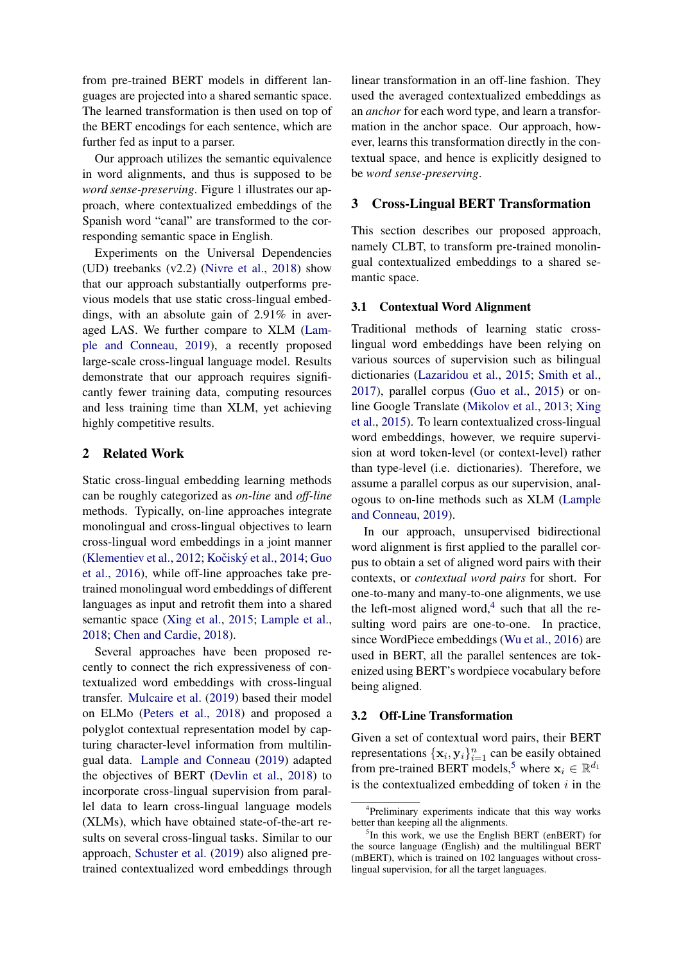from pre-trained BERT models in different languages are projected into a shared semantic space. The learned transformation is then used on top of the BERT encodings for each sentence, which are further fed as input to a parser.

Our approach utilizes the semantic equivalence in word alignments, and thus is supposed to be *word sense-preserving*. Figure [1](#page-0-3) illustrates our approach, where contextualized embeddings of the Spanish word "canal" are transformed to the corresponding semantic space in English.

Experiments on the Universal Dependencies (UD) treebanks (v2.2) [\(Nivre et al.,](#page-6-4) [2018\)](#page-6-4) show that our approach substantially outperforms previous models that use static cross-lingual embeddings, with an absolute gain of 2.91% in averaged LAS. We further compare to XLM [\(Lam](#page-5-1)[ple and Conneau,](#page-5-1) [2019\)](#page-5-1), a recently proposed large-scale cross-lingual language model. Results demonstrate that our approach requires significantly fewer training data, computing resources and less training time than XLM, yet achieving highly competitive results.

#### 2 Related Work

Static cross-lingual embedding learning methods can be roughly categorized as *on-line* and *off-line* methods. Typically, on-line approaches integrate monolingual and cross-lingual objectives to learn cross-lingual word embeddings in a joint manner [\(Klementiev et al.,](#page-5-9)  $2012$ ; Kočiský et al.,  $2014$ ; [Guo](#page-5-11) [et al.,](#page-5-11) [2016\)](#page-5-11), while off-line approaches take pretrained monolingual word embeddings of different languages as input and retrofit them into a shared semantic space [\(Xing et al.,](#page-6-5) [2015;](#page-6-5) [Lample et al.,](#page-5-12) [2018;](#page-5-12) [Chen and Cardie,](#page-5-13) [2018\)](#page-5-13).

Several approaches have been proposed recently to connect the rich expressiveness of contextualized word embeddings with cross-lingual transfer. [Mulcaire et al.](#page-5-8) [\(2019\)](#page-5-8) based their model on ELMo [\(Peters et al.,](#page-6-2) [2018\)](#page-6-2) and proposed a polyglot contextual representation model by capturing character-level information from multilingual data. [Lample and Conneau](#page-5-1) [\(2019\)](#page-5-1) adapted the objectives of BERT [\(Devlin et al.,](#page-5-0) [2018\)](#page-5-0) to incorporate cross-lingual supervision from parallel data to learn cross-lingual language models (XLMs), which have obtained state-of-the-art results on several cross-lingual tasks. Similar to our approach, [Schuster et al.](#page-6-6) [\(2019\)](#page-6-6) also aligned pretrained contextualized word embeddings through

linear transformation in an off-line fashion. They used the averaged contextualized embeddings as an *anchor* for each word type, and learn a transformation in the anchor space. Our approach, however, learns this transformation directly in the contextual space, and hence is explicitly designed to be *word sense-preserving*.

#### 3 Cross-Lingual BERT Transformation

This section describes our proposed approach, namely CLBT, to transform pre-trained monolingual contextualized embeddings to a shared semantic space.

#### 3.1 Contextual Word Alignment

Traditional methods of learning static crosslingual word embeddings have been relying on various sources of supervision such as bilingual dictionaries [\(Lazaridou et al.,](#page-5-14) [2015;](#page-5-14) [Smith et al.,](#page-6-7) [2017\)](#page-6-7), parallel corpus [\(Guo et al.,](#page-5-2) [2015\)](#page-5-2) or online Google Translate [\(Mikolov et al.,](#page-5-15) [2013;](#page-5-15) [Xing](#page-6-5) [et al.,](#page-6-5) [2015\)](#page-6-5). To learn contextualized cross-lingual word embeddings, however, we require supervision at word token-level (or context-level) rather than type-level (i.e. dictionaries). Therefore, we assume a parallel corpus as our supervision, analogous to on-line methods such as XLM [\(Lample](#page-5-1) [and Conneau,](#page-5-1) [2019\)](#page-5-1).

In our approach, unsupervised bidirectional word alignment is first applied to the parallel corpus to obtain a set of aligned word pairs with their contexts, or *contextual word pairs* for short. For one-to-many and many-to-one alignments, we use the left-most aligned word, $4$  such that all the resulting word pairs are one-to-one. In practice, since WordPiece embeddings [\(Wu et al.,](#page-6-8) [2016\)](#page-6-8) are used in BERT, all the parallel sentences are tokenized using BERT's wordpiece vocabulary before being aligned.

#### 3.2 Off-Line Transformation

Given a set of contextual word pairs, their BERT representations  $\{\mathbf x_i, \mathbf y_i\}_{i=1}^n$  can be easily obtained from pre-trained BERT models,<sup>[5](#page-1-1)</sup> where  $x_i \in \mathbb{R}^{d_1}$ is the contextualized embedding of token  $i$  in the

<span id="page-1-0"></span><sup>4</sup> Preliminary experiments indicate that this way works better than keeping all the alignments.

<span id="page-1-1"></span><sup>&</sup>lt;sup>5</sup>In this work, we use the English BERT (enBERT) for the source language (English) and the multilingual BERT (mBERT), which is trained on 102 languages without crosslingual supervision, for all the target languages.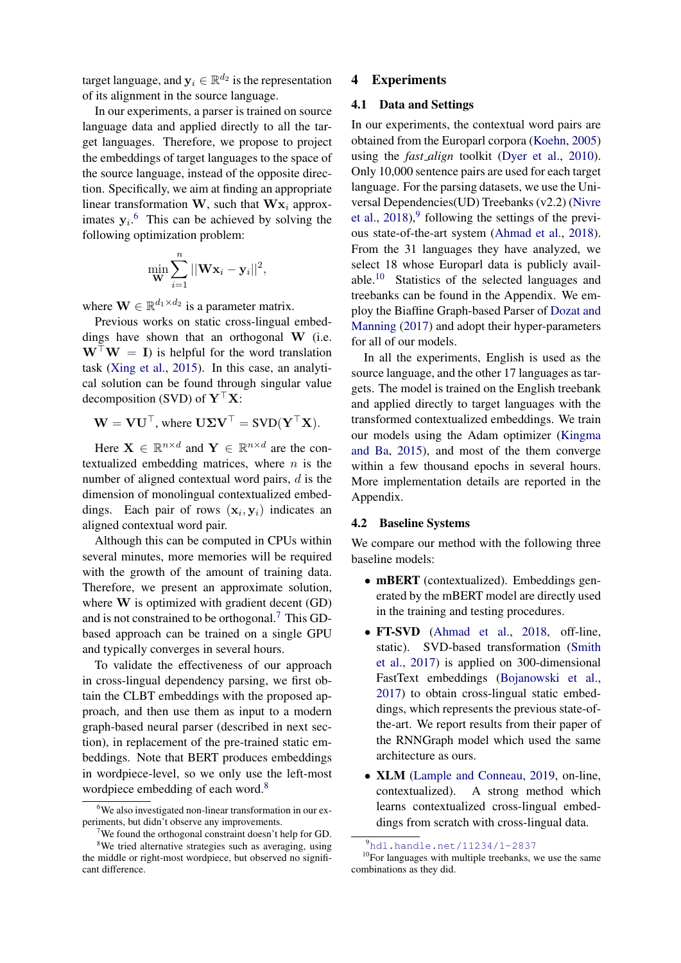target language, and  $\mathbf{y}_i \in \mathbb{R}^{d_2}$  is the representation of its alignment in the source language.

In our experiments, a parser is trained on source language data and applied directly to all the target languages. Therefore, we propose to project the embeddings of target languages to the space of the source language, instead of the opposite direction. Specifically, we aim at finding an appropriate linear transformation W, such that  $Wx_i$  approximates  $y_i$ <sup>[6](#page-2-0)</sup>. This can be achieved by solving the following optimization problem:

$$
\min_{\mathbf{W}} \sum_{i=1}^{n} ||\mathbf{W} \mathbf{x}_i - \mathbf{y}_i||^2,
$$

where  $\mathbf{W} \in \mathbb{R}^{d_1 \times d_2}$  is a parameter matrix.

Previous works on static cross-lingual embeddings have shown that an orthogonal W (i.e.  $W^{\top}W = I$ ) is helpful for the word translation task [\(Xing et al.,](#page-6-5) [2015\)](#page-6-5). In this case, an analytical solution can be found through singular value decomposition (SVD) of  $\mathbf{Y}^\top \mathbf{X}$ :

$$
\mathbf{W} = \mathbf{V}\mathbf{U}^{\top}, \text{ where } \mathbf{U}\mathbf{\Sigma}\mathbf{V}^{\top} = \mathbf{S}\mathbf{V}\mathbf{D}(\mathbf{Y}^{\top}\mathbf{X}).
$$

Here  $\mathbf{X} \in \mathbb{R}^{n \times d}$  and  $\mathbf{Y} \in \mathbb{R}^{n \times d}$  are the contextualized embedding matrices, where  $n$  is the number of aligned contextual word pairs, d is the dimension of monolingual contextualized embeddings. Each pair of rows  $(\mathbf{x}_i, \mathbf{y}_i)$  indicates an aligned contextual word pair.

Although this can be computed in CPUs within several minutes, more memories will be required with the growth of the amount of training data. Therefore, we present an approximate solution, where W is optimized with gradient decent (GD) and is not constrained to be orthogonal.<sup>[7](#page-2-1)</sup> This GDbased approach can be trained on a single GPU and typically converges in several hours.

To validate the effectiveness of our approach in cross-lingual dependency parsing, we first obtain the CLBT embeddings with the proposed approach, and then use them as input to a modern graph-based neural parser (described in next section), in replacement of the pre-trained static embeddings. Note that BERT produces embeddings in wordpiece-level, so we only use the left-most wordpiece embedding of each word.<sup>[8](#page-2-2)</sup>

#### 4 Experiments

### 4.1 Data and Settings

In our experiments, the contextual word pairs are obtained from the Europarl corpora [\(Koehn,](#page-5-16) [2005\)](#page-5-16) using the *fast align* toolkit [\(Dyer et al.,](#page-5-17) [2010\)](#page-5-17). Only 10,000 sentence pairs are used for each target language. For the parsing datasets, we use the Universal Dependencies(UD) Treebanks (v2.2) [\(Nivre](#page-6-4) [et al.,](#page-6-4)  $2018$ ,  $9$  following the settings of the previous state-of-the-art system [\(Ahmad et al.,](#page-5-18) [2018\)](#page-5-18). From the 31 languages they have analyzed, we select 18 whose Europarl data is publicly available.[10](#page-2-4) Statistics of the selected languages and treebanks can be found in the Appendix. We employ the Biaffine Graph-based Parser of [Dozat and](#page-5-19) [Manning](#page-5-19) [\(2017\)](#page-5-19) and adopt their hyper-parameters for all of our models.

In all the experiments, English is used as the source language, and the other 17 languages as targets. The model is trained on the English treebank and applied directly to target languages with the transformed contextualized embeddings. We train our models using the Adam optimizer [\(Kingma](#page-5-20) [and Ba,](#page-5-20) [2015\)](#page-5-20), and most of the them converge within a few thousand epochs in several hours. More implementation details are reported in the Appendix.

### 4.2 Baseline Systems

We compare our method with the following three baseline models:

- mBERT (contextualized). Embeddings generated by the mBERT model are directly used in the training and testing procedures.
- FT-SVD [\(Ahmad et al.,](#page-5-18) [2018,](#page-5-18) off-line, static). SVD-based transformation [\(Smith](#page-6-7) [et al.,](#page-6-7) [2017\)](#page-6-7) is applied on 300-dimensional FastText embeddings [\(Bojanowski et al.,](#page-5-21) [2017\)](#page-5-21) to obtain cross-lingual static embeddings, which represents the previous state-ofthe-art. We report results from their paper of the RNNGraph model which used the same architecture as ours.
- **XLM** [\(Lample and Conneau,](#page-5-1) [2019,](#page-5-1) on-line, contextualized). A strong method which learns contextualized cross-lingual embeddings from scratch with cross-lingual data.

<span id="page-2-0"></span><sup>6</sup>We also investigated non-linear transformation in our experiments, but didn't observe any improvements.

<span id="page-2-2"></span><span id="page-2-1"></span><sup>&</sup>lt;sup>7</sup>We found the orthogonal constraint doesn't help for GD. <sup>8</sup>We tried alternative strategies such as averaging, using the middle or right-most wordpiece, but observed no significant difference.

<span id="page-2-4"></span><span id="page-2-3"></span><sup>9</sup><hdl.handle.net/11234/1-2837>

 $10$ For languages with multiple treebanks, we use the same combinations as they did.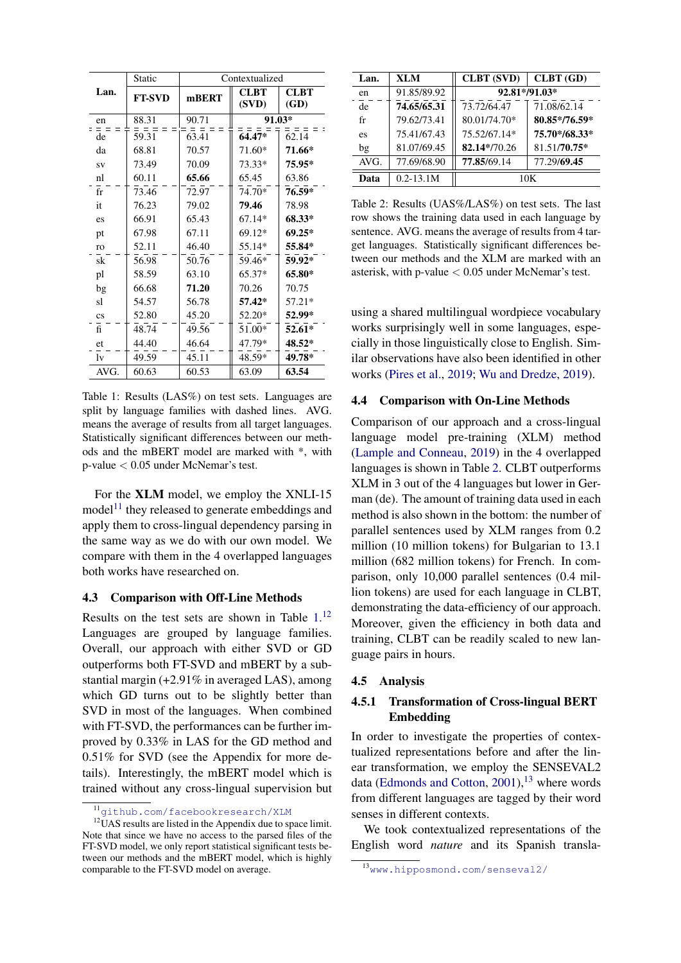<span id="page-3-1"></span>

|                        | Static        |       | Contextualized |                     |  |
|------------------------|---------------|-------|----------------|---------------------|--|
| Lan.                   | <b>FT-SVD</b> | mBERT | CLBT<br>(SVD)  | <b>CLBT</b><br>(GD) |  |
| en                     | 88.31         | 90.71 | 91.03*         |                     |  |
| de                     | 59.31         | 63.41 | 64.47*         | 62.14               |  |
| da                     | 68.81         | 70.57 | 71.60*         | 71.66*              |  |
| <b>SV</b>              | 73.49         | 70.09 | 73.33*         | 75.95*              |  |
| nl                     | 60.11         | 65.66 | 65.45          | 63.86               |  |
| $f_{r}$                | 73.46         | 72.97 | 74.70*         | 76.59*              |  |
| it                     | 76.23         | 79.02 | 79.46          | 78.98               |  |
| es                     | 66.91         | 65.43 | $67.14*$       | 68.33*              |  |
| pt                     | 67.98         | 67.11 | 69.12*         | $69.25*$            |  |
| ro                     | 52.11         | 46.40 | 55.14*         | 55.84*              |  |
| sk                     | 56.98         | 50.76 | 59.46*         | 59.92*              |  |
| pl                     | 58.59         | 63.10 | 65.37*         | 65.80*              |  |
| bg                     | 66.68         | 71.20 | 70.26          | 70.75               |  |
| sl                     | 54.57         | 56.78 | 57.42*         | 57.21*              |  |
| $\mathbf{c}\mathbf{s}$ | 52.80         | 45.20 | 52.20*         | 52.99*              |  |
| $f_1$                  | 48.74         | 49.56 | 51.00*         | $52.61*$            |  |
| et                     | 44.40         | 46.64 | 47.79*         | 48.52*              |  |
| lv                     | 49.59         | 45.11 | 48.59*         | 49.78*              |  |
| AVG.                   | 60.63         | 60.53 | 63.09          | 63.54               |  |

Table 1: Results (LAS%) on test sets. Languages are split by language families with dashed lines. AVG. means the average of results from all target languages. Statistically significant differences between our methods and the mBERT model are marked with \*, with  $p$ -value  $< 0.05$  under McNemar's test.

For the XLM model, we employ the XNLI-15  $model<sup>11</sup>$  they released to generate embeddings and apply them to cross-lingual dependency parsing in the same way as we do with our own model. We compare with them in the 4 overlapped languages both works have researched on.

#### 4.3 Comparison with Off-Line Methods

Results on the test sets are shown in Table 1.<sup>12</sup> Languages are grouped by language families. Overall, our approach with either SVD or GD outperforms both FT-SVD and mBERT by a substantial margin  $(+2.91\%$  in averaged LAS), among which GD turns out to be slightly better than SVD in most of the languages. When combined with FT-SVD, the performances can be further improved by 0.33% in LAS for the GD method and  $0.51\%$  for SVD (see the Appendix for more details). Interestingly, the mBERT model which is trained without any cross-lingual supervision but

<span id="page-3-3"></span>

| Lan. | <b>XLM</b>    | <b>CLBT</b> (SVD) | CLBT(GD)      |  |
|------|---------------|-------------------|---------------|--|
| en   | 91.85/89.92   | 92.81*/91.03*     |               |  |
| de   | 74.65/65.31   | 73.72/64.47       | 71.08/62.14   |  |
| fr   | 79.62/73.41   | 80.01/74.70*      | 80.85*/76.59* |  |
| es   | 75.41/67.43   | 75.52/67.14*      | 75.70*/68.33* |  |
| bg   | 81.07/69.45   | 82.14*/70.26      | 81.51/70.75*  |  |
| AVG. | 77.69/68.90   | 77.85/69.14       | 77.29/69.45   |  |
| Data | $0.2 - 13.1M$ | 10K               |               |  |

Table 2: Results (UAS%/LAS%) on test sets. The last row shows the training data used in each language by sentence. AVG. means the average of results from 4 target languages. Statistically significant differences between our methods and the XLM are marked with an asterisk, with p-value  $< 0.05$  under McNemar's test.

using a shared multilingual wordpiece vocabulary works surprisingly well in some languages, especially in those linguistically close to English. Similar observations have also been identified in other works (Pires et al., 2019; Wu and Dredze, 2019).

#### $4.4$ **Comparison with On-Line Methods**

Comparison of our approach and a cross-lingual language model pre-training (XLM) method (Lample and Conneau, 2019) in the 4 overlapped languages is shown in Table 2. CLBT outperforms XLM in 3 out of the 4 languages but lower in German (de). The amount of training data used in each method is also shown in the bottom: the number of parallel sentences used by XLM ranges from 0.2 million (10 million tokens) for Bulgarian to 13.1 million (682 million tokens) for French. In comparison, only 10,000 parallel sentences (0.4 million tokens) are used for each language in CLBT, demonstrating the data-efficiency of our approach. Moreover, given the efficiency in both data and training, CLBT can be readily scaled to new language pairs in hours.

#### 4.5 Analysis

#### $4.5.1$ **Transformation of Cross-lingual BERT Embedding**

In order to investigate the properties of contextualized representations before and after the linear transformation, we employ the SENSEVAL2 data (Edmonds and Cotton, 2001),<sup>13</sup> where words from different languages are tagged by their word senses in different contexts.

We took contextualized representations of the English word *nature* and its Spanish transla-

<span id="page-3-2"></span><span id="page-3-0"></span> $11$ github.com/facebookresearch/XLM

 $12$ UAS results are listed in the Appendix due to space limit. Note that since we have no access to the parsed files of the FT-SVD model, we only report statistical significant tests between our methods and the mBERT model, which is highly comparable to the FT-SVD model on average.

<span id="page-3-4"></span> $13$ www.hipposmond.com/senseval2/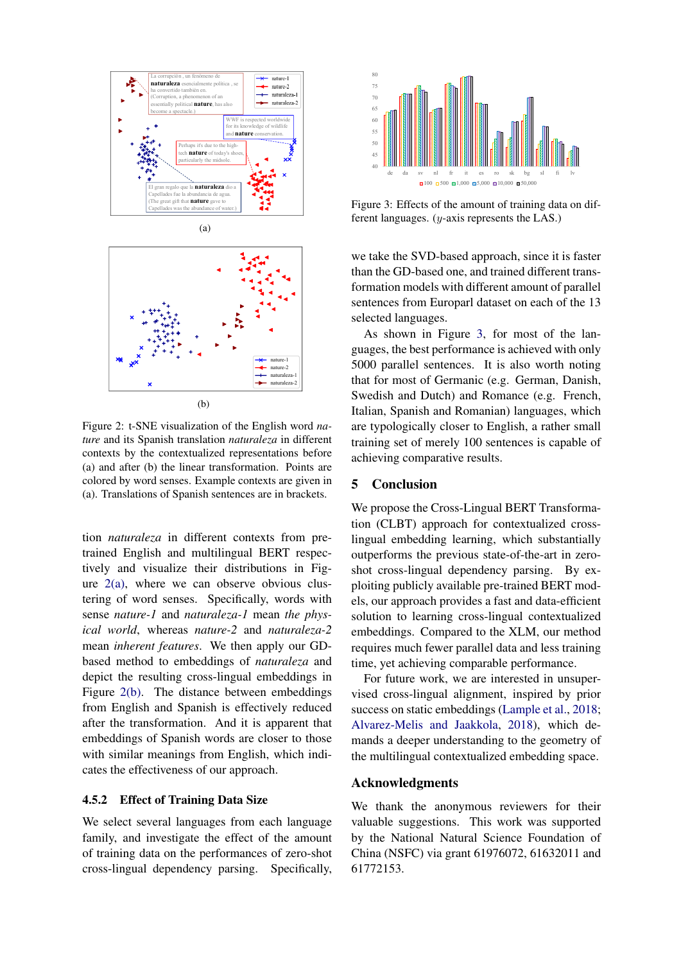<span id="page-4-0"></span>



<span id="page-4-1"></span>Figure 2: t-SNE visualization of the English word *nature* and its Spanish translation *naturaleza* in different contexts by the contextualized representations before (a) and after (b) the linear transformation. Points are colored by word senses. Example contexts are given in (a). Translations of Spanish sentences are in brackets.

tion *naturaleza* in different contexts from pretrained English and multilingual BERT respectively and visualize their distributions in Figure  $2(a)$ , where we can observe obvious clustering of word senses. Specifically, words with sense *nature-1* and *naturaleza-1* mean *the physical world*, whereas *nature-2* and *naturaleza-2* mean *inherent features*. We then apply our GDbased method to embeddings of *naturaleza* and depict the resulting cross-lingual embeddings in Figure [2\(b\).](#page-4-1) The distance between embeddings from English and Spanish is effectively reduced after the transformation. And it is apparent that embeddings of Spanish words are closer to those with similar meanings from English, which indicates the effectiveness of our approach.

#### 4.5.2 Effect of Training Data Size

We select several languages from each language family, and investigate the effect of the amount of training data on the performances of zero-shot cross-lingual dependency parsing. Specifically,

<span id="page-4-2"></span>

Figure 3: Effects of the amount of training data on different languages. (y-axis represents the LAS.)

we take the SVD-based approach, since it is faster than the GD-based one, and trained different transformation models with different amount of parallel sentences from Europarl dataset on each of the 13 selected languages.

As shown in Figure [3,](#page-4-2) for most of the languages, the best performance is achieved with only 5000 parallel sentences. It is also worth noting that for most of Germanic (e.g. German, Danish, Swedish and Dutch) and Romance (e.g. French, Italian, Spanish and Romanian) languages, which are typologically closer to English, a rather small training set of merely 100 sentences is capable of achieving comparative results.

#### 5 Conclusion

We propose the Cross-Lingual BERT Transformation (CLBT) approach for contextualized crosslingual embedding learning, which substantially outperforms the previous state-of-the-art in zeroshot cross-lingual dependency parsing. By exploiting publicly available pre-trained BERT models, our approach provides a fast and data-efficient solution to learning cross-lingual contextualized embeddings. Compared to the XLM, our method requires much fewer parallel data and less training time, yet achieving comparable performance.

For future work, we are interested in unsupervised cross-lingual alignment, inspired by prior success on static embeddings [\(Lample et al.,](#page-5-12) [2018;](#page-5-12) [Alvarez-Melis and Jaakkola,](#page-5-23) [2018\)](#page-5-23), which demands a deeper understanding to the geometry of the multilingual contextualized embedding space.

## Acknowledgments

We thank the anonymous reviewers for their valuable suggestions. This work was supported by the National Natural Science Foundation of China (NSFC) via grant 61976072, 61632011 and 61772153.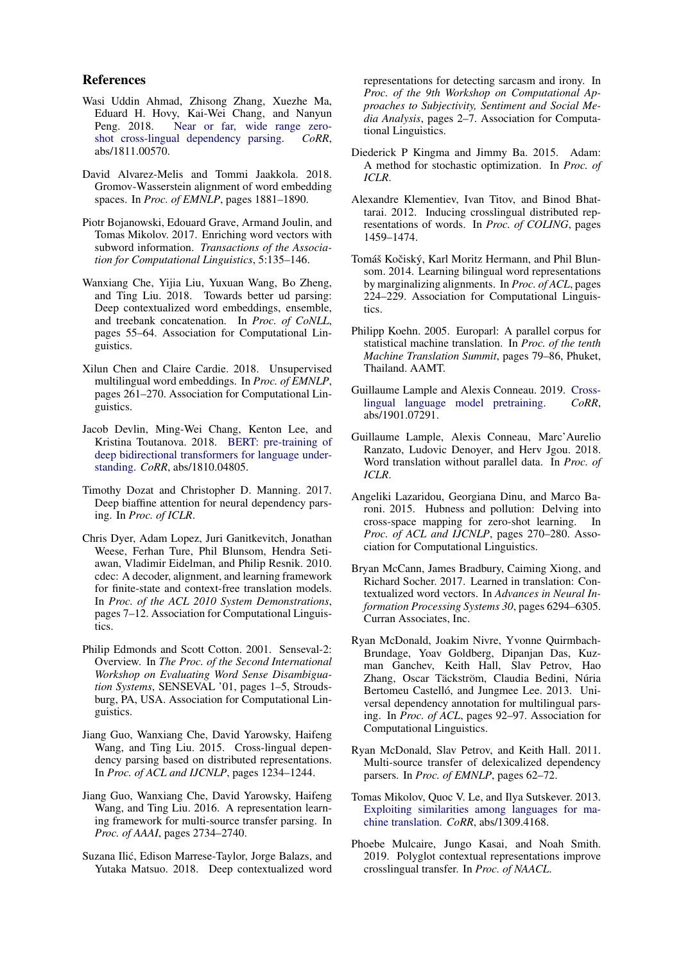#### References

- <span id="page-5-18"></span>Wasi Uddin Ahmad, Zhisong Zhang, Xuezhe Ma, Eduard H. Hovy, Kai-Wei Chang, and Nanyun Peng. 2018. [Near or far, wide range zero](http://arxiv.org/abs/1811.00570)[shot cross-lingual dependency parsing.](http://arxiv.org/abs/1811.00570) *CoRR*, abs/1811.00570.
- <span id="page-5-23"></span>David Alvarez-Melis and Tommi Jaakkola. 2018. Gromov-Wasserstein alignment of word embedding spaces. In *Proc. of EMNLP*, pages 1881–1890.
- <span id="page-5-21"></span>Piotr Bojanowski, Edouard Grave, Armand Joulin, and Tomas Mikolov. 2017. Enriching word vectors with subword information. *Transactions of the Association for Computational Linguistics*, 5:135–146.
- <span id="page-5-7"></span>Wanxiang Che, Yijia Liu, Yuxuan Wang, Bo Zheng, and Ting Liu. 2018. Towards better ud parsing: Deep contextualized word embeddings, ensemble, and treebank concatenation. In *Proc. of CoNLL*, pages 55–64. Association for Computational Linguistics.
- <span id="page-5-13"></span>Xilun Chen and Claire Cardie. 2018. Unsupervised multilingual word embeddings. In *Proc. of EMNLP*, pages 261–270. Association for Computational Linguistics.
- <span id="page-5-0"></span>Jacob Devlin, Ming-Wei Chang, Kenton Lee, and Kristina Toutanova. 2018. [BERT: pre-training of](http://arxiv.org/abs/1810.04805) [deep bidirectional transformers for language under](http://arxiv.org/abs/1810.04805)[standing.](http://arxiv.org/abs/1810.04805) *CoRR*, abs/1810.04805.
- <span id="page-5-19"></span>Timothy Dozat and Christopher D. Manning. 2017. Deep biaffine attention for neural dependency parsing. In *Proc. of ICLR*.
- <span id="page-5-17"></span>Chris Dyer, Adam Lopez, Juri Ganitkevitch, Jonathan Weese, Ferhan Ture, Phil Blunsom, Hendra Setiawan, Vladimir Eidelman, and Philip Resnik. 2010. cdec: A decoder, alignment, and learning framework for finite-state and context-free translation models. In *Proc. of the ACL 2010 System Demonstrations*, pages 7–12. Association for Computational Linguistics.
- <span id="page-5-22"></span>Philip Edmonds and Scott Cotton. 2001. Senseval-2: Overview. In *The Proc. of the Second International Workshop on Evaluating Word Sense Disambiguation Systems*, SENSEVAL '01, pages 1–5, Stroudsburg, PA, USA. Association for Computational Linguistics.
- <span id="page-5-2"></span>Jiang Guo, Wanxiang Che, David Yarowsky, Haifeng Wang, and Ting Liu. 2015. Cross-lingual dependency parsing based on distributed representations. In *Proc. of ACL and IJCNLP*, pages 1234–1244.
- <span id="page-5-11"></span>Jiang Guo, Wanxiang Che, David Yarowsky, Haifeng Wang, and Ting Liu. 2016. A representation learning framework for multi-source transfer parsing. In *Proc. of AAAI*, pages 2734–2740.
- <span id="page-5-6"></span>Suzana Ilic, Edison Marrese-Taylor, Jorge Balazs, and ´ Yutaka Matsuo. 2018. Deep contextualized word

representations for detecting sarcasm and irony. In *Proc. of the 9th Workshop on Computational Approaches to Subjectivity, Sentiment and Social Media Analysis*, pages 2–7. Association for Computational Linguistics.

- <span id="page-5-20"></span>Diederick P Kingma and Jimmy Ba. 2015. Adam: A method for stochastic optimization. In *Proc. of ICLR*.
- <span id="page-5-9"></span>Alexandre Klementiev, Ivan Titov, and Binod Bhattarai. 2012. Inducing crosslingual distributed representations of words. In *Proc. of COLING*, pages 1459–1474.
- <span id="page-5-10"></span>Tomáš Kočiský, Karl Moritz Hermann, and Phil Blunsom. 2014. Learning bilingual word representations by marginalizing alignments. In *Proc. of ACL*, pages 224–229. Association for Computational Linguistics.
- <span id="page-5-16"></span>Philipp Koehn. 2005. Europarl: A parallel corpus for statistical machine translation. In *Proc. of the tenth Machine Translation Summit*, pages 79–86, Phuket, Thailand. AAMT.
- <span id="page-5-1"></span>Guillaume Lample and Alexis Conneau. 2019. [Cross](http://arxiv.org/abs/1901.07291)[lingual language model pretraining.](http://arxiv.org/abs/1901.07291) *CoRR*, abs/1901.07291.
- <span id="page-5-12"></span>Guillaume Lample, Alexis Conneau, Marc'Aurelio Ranzato, Ludovic Denoyer, and Herv Jgou. 2018. Word translation without parallel data. In *Proc. of ICLR*.
- <span id="page-5-14"></span>Angeliki Lazaridou, Georgiana Dinu, and Marco Baroni. 2015. Hubness and pollution: Delving into cross-space mapping for zero-shot learning. In *Proc. of ACL and IJCNLP*, pages 270–280. Association for Computational Linguistics.
- <span id="page-5-5"></span>Bryan McCann, James Bradbury, Caiming Xiong, and Richard Socher. 2017. Learned in translation: Contextualized word vectors. In *Advances in Neural Information Processing Systems 30*, pages 6294–6305. Curran Associates, Inc.
- <span id="page-5-4"></span>Ryan McDonald, Joakim Nivre, Yvonne Quirmbach-Brundage, Yoav Goldberg, Dipanjan Das, Kuzman Ganchev, Keith Hall, Slav Petrov, Hao Zhang, Oscar Täckström, Claudia Bedini, Núria Bertomeu Castelló, and Jungmee Lee. 2013. Universal dependency annotation for multilingual parsing. In *Proc. of ACL*, pages 92–97. Association for Computational Linguistics.
- <span id="page-5-3"></span>Ryan McDonald, Slav Petrov, and Keith Hall. 2011. Multi-source transfer of delexicalized dependency parsers. In *Proc. of EMNLP*, pages 62–72.
- <span id="page-5-15"></span>Tomas Mikolov, Quoc V. Le, and Ilya Sutskever. 2013. [Exploiting similarities among languages for ma](http://arxiv.org/abs/1309.4168)[chine translation.](http://arxiv.org/abs/1309.4168) *CoRR*, abs/1309.4168.
- <span id="page-5-8"></span>Phoebe Mulcaire, Jungo Kasai, and Noah Smith. 2019. Polyglot contextual representations improve crosslingual transfer. In *Proc. of NAACL*.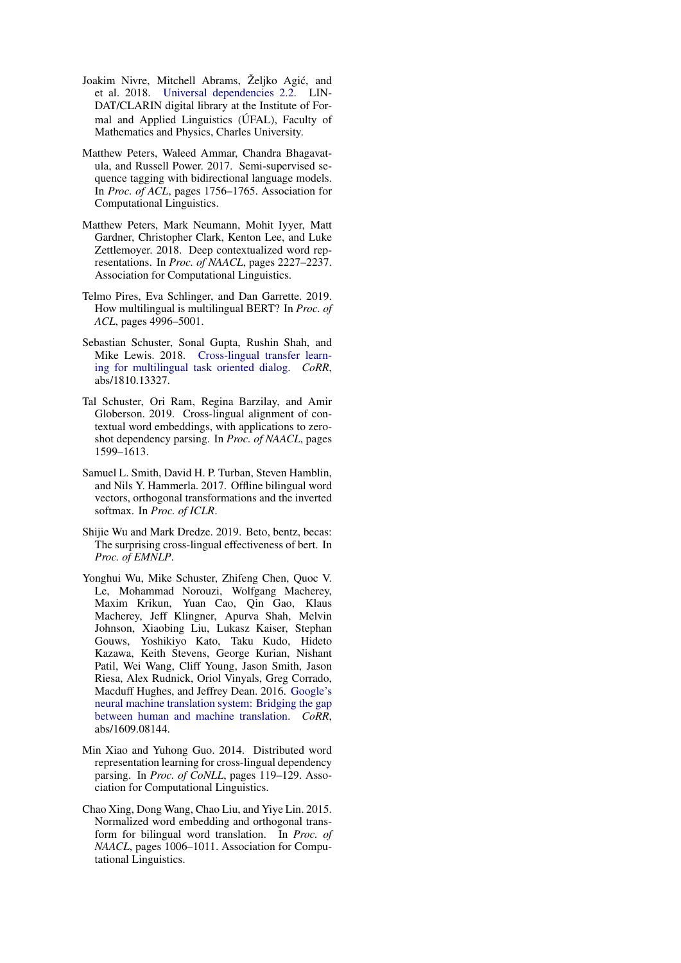- <span id="page-6-4"></span>Joakim Nivre, Mitchell Abrams, Željko Agić, and et al. 2018. [Universal dependencies 2.2.](http://hdl.handle.net/11234/1-2837) LIN-DAT/CLARIN digital library at the Institute of Formal and Applied Linguistics (UFAL), Faculty of Mathematics and Physics, Charles University.
- <span id="page-6-1"></span>Matthew Peters, Waleed Ammar, Chandra Bhagavatula, and Russell Power. 2017. Semi-supervised sequence tagging with bidirectional language models. In *Proc. of ACL*, pages 1756–1765. Association for Computational Linguistics.
- <span id="page-6-2"></span>Matthew Peters, Mark Neumann, Mohit Iyyer, Matt Gardner, Christopher Clark, Kenton Lee, and Luke Zettlemoyer. 2018. Deep contextualized word representations. In *Proc. of NAACL*, pages 2227–2237. Association for Computational Linguistics.
- <span id="page-6-9"></span>Telmo Pires, Eva Schlinger, and Dan Garrette. 2019. How multilingual is multilingual BERT? In *Proc. of ACL*, pages 4996–5001.
- <span id="page-6-3"></span>Sebastian Schuster, Sonal Gupta, Rushin Shah, and Mike Lewis. 2018. [Cross-lingual transfer learn](http://arxiv.org/abs/1810.13327)[ing for multilingual task oriented dialog.](http://arxiv.org/abs/1810.13327) *CoRR*, abs/1810.13327.
- <span id="page-6-6"></span>Tal Schuster, Ori Ram, Regina Barzilay, and Amir Globerson. 2019. Cross-lingual alignment of contextual word embeddings, with applications to zeroshot dependency parsing. In *Proc. of NAACL*, pages 1599–1613.
- <span id="page-6-7"></span>Samuel L. Smith, David H. P. Turban, Steven Hamblin, and Nils Y. Hammerla. 2017. Offline bilingual word vectors, orthogonal transformations and the inverted softmax. In *Proc. of ICLR*.
- <span id="page-6-10"></span>Shijie Wu and Mark Dredze. 2019. Beto, bentz, becas: The surprising cross-lingual effectiveness of bert. In *Proc. of EMNLP*.
- <span id="page-6-8"></span>Yonghui Wu, Mike Schuster, Zhifeng Chen, Quoc V. Le, Mohammad Norouzi, Wolfgang Macherey, Maxim Krikun, Yuan Cao, Qin Gao, Klaus Macherey, Jeff Klingner, Apurva Shah, Melvin Johnson, Xiaobing Liu, Lukasz Kaiser, Stephan Gouws, Yoshikiyo Kato, Taku Kudo, Hideto Kazawa, Keith Stevens, George Kurian, Nishant Patil, Wei Wang, Cliff Young, Jason Smith, Jason Riesa, Alex Rudnick, Oriol Vinyals, Greg Corrado, Macduff Hughes, and Jeffrey Dean. 2016. [Google's](http://arxiv.org/abs/1609.08144) [neural machine translation system: Bridging the gap](http://arxiv.org/abs/1609.08144) [between human and machine translation.](http://arxiv.org/abs/1609.08144) *CoRR*, abs/1609.08144.
- <span id="page-6-0"></span>Min Xiao and Yuhong Guo. 2014. Distributed word representation learning for cross-lingual dependency parsing. In *Proc. of CoNLL*, pages 119–129. Association for Computational Linguistics.
- <span id="page-6-5"></span>Chao Xing, Dong Wang, Chao Liu, and Yiye Lin. 2015. Normalized word embedding and orthogonal transform for bilingual word translation. In *Proc. of NAACL*, pages 1006–1011. Association for Computational Linguistics.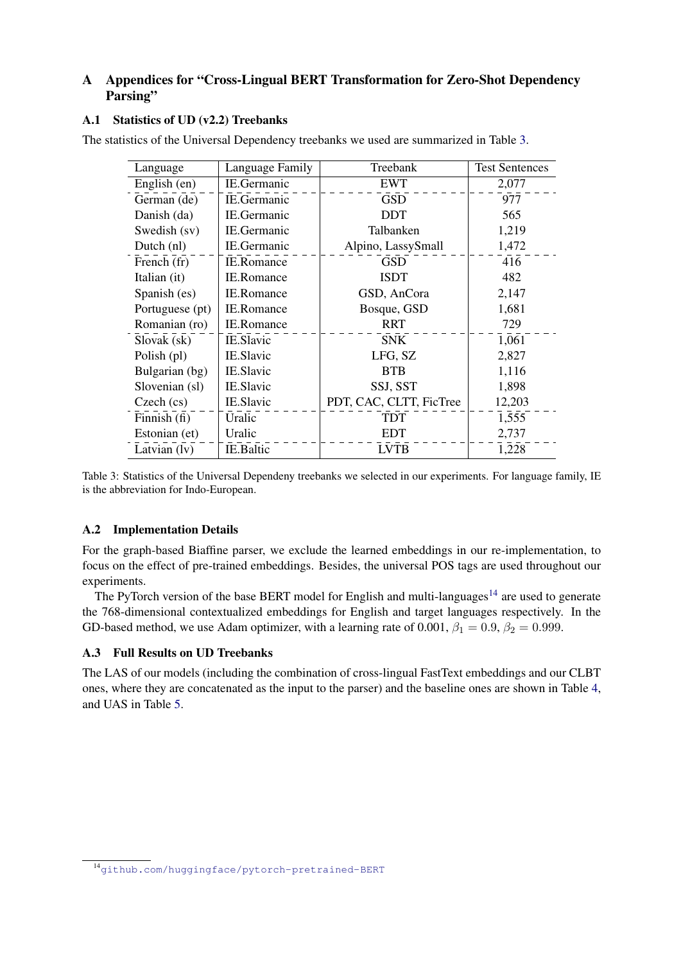# A Appendices for "Cross-Lingual BERT Transformation for Zero-Shot Dependency Parsing"

## A.1 Statistics of UD (v2.2) Treebanks

<span id="page-7-0"></span>The statistics of the Universal Dependency treebanks we used are summarized in Table [3.](#page-7-0)

| Language        | Language Family   | Treebank                | <b>Test Sentences</b> |
|-----------------|-------------------|-------------------------|-----------------------|
| English (en)    | IE.Germanic       | <b>EWT</b>              | 2,077                 |
| German (de)     | IE.Germanic       | <b>GSD</b>              | 977                   |
| Danish (da)     | IE.Germanic       | <b>DDT</b>              | 565                   |
| Swedish (sv)    | IE.Germanic       | Talbanken               | 1,219                 |
| Dutch (nl)      | IE.Germanic       | Alpino, LassySmall      | 1,472                 |
| French (fr)     | IE.Romance        | <b>GSD</b>              | 416                   |
| Italian (it)    | <b>IE.Romance</b> | <b>ISDT</b>             | 482                   |
| Spanish (es)    | <b>IE.Romance</b> | GSD, AnCora             | 2,147                 |
| Portuguese (pt) | <b>IE.Romance</b> | Bosque, GSD             | 1,681                 |
| Romanian (ro)   | IE.Romance        | <b>RRT</b>              | 729                   |
| Slovak (sk)     | IE.Slavic         | <b>SNK</b>              | 1,061                 |
| Polish (pl)     | IE.Slavic         | LFG, SZ                 | 2,827                 |
| Bulgarian (bg)  | IE.Slavic         | <b>BTB</b>              | 1,116                 |
| Slovenian (sl)  | IE.Slavic         | SSJ, SST                | 1,898                 |
| Czech (cs)      | IE.Slavic         | PDT, CAC, CLTT, FicTree | 12,203                |
| Finnish (fi)    | Uralic            | <b>TDT</b>              | 1,555                 |
| Estonian (et)   | Uralic            | <b>EDT</b>              | 2,737                 |
| Latvian $(1v)$  | IE.Baltic         | <b>LVTB</b>             | 1,228                 |

Table 3: Statistics of the Universal Dependeny treebanks we selected in our experiments. For language family, IE is the abbreviation for Indo-European.

## A.2 Implementation Details

For the graph-based Biaffine parser, we exclude the learned embeddings in our re-implementation, to focus on the effect of pre-trained embeddings. Besides, the universal POS tags are used throughout our experiments.

The PyTorch version of the base BERT model for English and multi-languages<sup>[14](#page-7-1)</sup> are used to generate the 768-dimensional contextualized embeddings for English and target languages respectively. In the GD-based method, we use Adam optimizer, with a learning rate of 0.001,  $\beta_1 = 0.9$ ,  $\beta_2 = 0.999$ .

## A.3 Full Results on UD Treebanks

The LAS of our models (including the combination of cross-lingual FastText embeddings and our CLBT ones, where they are concatenated as the input to the parser) and the baseline ones are shown in Table [4,](#page-8-0) and UAS in Table [5.](#page-8-1)

<span id="page-7-1"></span><sup>14</sup><github.com/huggingface/pytorch-pretrained-BERT>